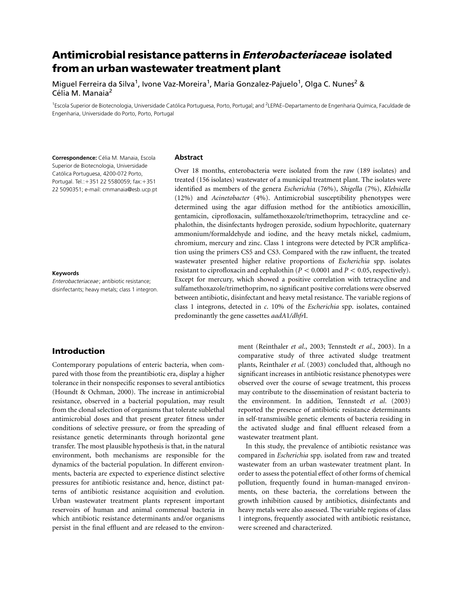# Antimicrobial resistance patterns in Enterobacteriaceae isolated from an urban wastewater treatment plant

Miguel Ferreira da Silva<sup>1</sup>, Ivone Vaz-Moreira<sup>1</sup>, Maria Gonzalez-Pajuelo<sup>1</sup>, Olga C. Nunes<sup>2</sup> &  $C<sub>1</sub>$ élia M. Manaia<sup>2</sup>

Abstract

<sup>1</sup>Escola Superior de Biotecnologia, Universidade Católica Portuguesa, Porto, Portugal; and <sup>2</sup>LEPAE-Departamento de Engenharia Química, Faculdade de Engenharia, Universidade do Porto, Porto, Portugal

Correspondence: Célia M. Manaia, Escola Superior de Biotecnologia, Universidade Católica Portuguesa, 4200-072 Porto, Portugal. Tel.: +351 22 5580059; fax: +351 22 5090351; e-mail: cmmanaia@esb.ucp.pt

#### Keywords

Enterobacteriaceae ; antibiotic resistance; disinfectants; heavy metals; class 1 integron.

# Introduction

Contemporary populations of enteric bacteria, when compared with those from the preantibiotic era, display a higher tolerance in their nonspecific responses to several antibiotics (Houndt & Ochman, 2000). The increase in antimicrobial resistance, observed in a bacterial population, may result from the clonal selection of organisms that tolerate sublethal antimicrobial doses and that present greater fitness under conditions of selective pressure, or from the spreading of resistance genetic determinants through horizontal gene transfer. The most plausible hypothesis is that, in the natural environment, both mechanisms are responsible for the dynamics of the bacterial population. In different environments, bacteria are expected to experience distinct selective pressures for antibiotic resistance and, hence, distinct patterns of antibiotic resistance acquisition and evolution. Urban wastewater treatment plants represent important reservoirs of human and animal commensal bacteria in which antibiotic resistance determinants and/or organisms persist in the final effluent and are released to the environ-

Over 18 months, enterobacteria were isolated from the raw (189 isolates) and treated (156 isolates) wastewater of a municipal treatment plant. The isolates were identified as members of the genera Escherichia (76%), Shigella (7%), Klebsiella (12%) and Acinetobacter (4%). Antimicrobial susceptibility phenotypes were determined using the agar diffusion method for the antibiotics amoxicillin, gentamicin, ciprofloxacin, sulfamethoxazole/trimethoprim, tetracycline and cephalothin, the disinfectants hydrogen peroxide, sodium hypochlorite, quaternary ammonium/formaldehyde and iodine, and the heavy metals nickel, cadmium, chromium, mercury and zinc. Class 1 integrons were detected by PCR amplification using the primers CS5 and CS3. Compared with the raw influent, the treated wastewater presented higher relative proportions of Escherichia spp. isolates resistant to ciprofloxacin and cephalothin ( $P < 0.0001$  and  $P < 0.05$ , respectively). Except for mercury, which showed a positive correlation with tetracycline and sulfamethoxazole/trimethoprim, no significant positive correlations were observed between antibiotic, disinfectant and heavy metal resistance. The variable regions of class 1 integrons, detected in c. 10% of the Escherichia spp. isolates, contained predominantly the gene cassettes aadA1/dhfrI.

> ment (Reinthaler et al., 2003; Tennstedt et al., 2003). In a comparative study of three activated sludge treatment plants, Reinthaler et al. (2003) concluded that, although no significant increases in antibiotic resistance phenotypes were observed over the course of sewage treatment, this process may contribute to the dissemination of resistant bacteria to the environment. In addition, Tennstedt et al. (2003) reported the presence of antibiotic resistance determinants in self-transmissible genetic elements of bacteria residing in the activated sludge and final effluent released from a wastewater treatment plant.

> In this study, the prevalence of antibiotic resistance was compared in Escherichia spp. isolated from raw and treated wastewater from an urban wastewater treatment plant. In order to assess the potential effect of other forms of chemical pollution, frequently found in human-managed environments, on these bacteria, the correlations between the growth inhibition caused by antibiotics, disinfectants and heavy metals were also assessed. The variable regions of class 1 integrons, frequently associated with antibiotic resistance, were screened and characterized.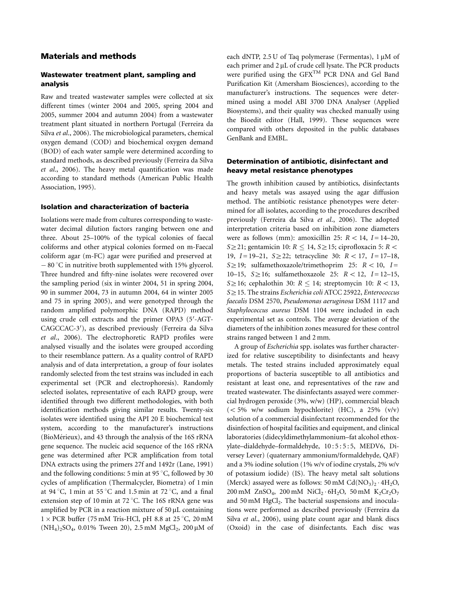# Materials and methods

#### Wastewater treatment plant, sampling and analysis

Raw and treated wastewater samples were collected at six different times (winter 2004 and 2005, spring 2004 and 2005, summer 2004 and autumn 2004) from a wastewater treatment plant situated in northern Portugal (Ferreira da Silva et al., 2006). The microbiological parameters, chemical oxygen demand (COD) and biochemical oxygen demand (BOD) of each water sample were determined according to standard methods, as described previously (Ferreira da Silva et al., 2006). The heavy metal quantification was made according to standard methods (American Public Health Association, 1995).

### Isolation and characterization of bacteria

Isolations were made from cultures corresponding to wastewater decimal dilution factors ranging between one and three. About 25–100% of the typical colonies of faecal coliforms and other atypical colonies formed on m-Faecal coliform agar (m-FC) agar were purified and preserved at  $-80$  °C in nutritive broth supplemented with 15% glycerol. Three hundred and fifty-nine isolates were recovered over the sampling period (six in winter 2004, 51 in spring 2004, 90 in summer 2004, 73 in autumn 2004, 64 in winter 2005 and 75 in spring 2005), and were genotyped through the random amplified polymorphic DNA (RAPD) method using crude cell extracts and the primer OPA3 (5'-AGT-CAGCCAC-3'), as described previously (Ferreira da Silva et al., 2006). The electrophoretic RAPD profiles were analysed visually and the isolates were grouped according to their resemblance pattern. As a quality control of RAPD analysis and of data interpretation, a group of four isolates randomly selected from the test strains was included in each experimental set (PCR and electrophoresis). Randomly selected isolates, representative of each RAPD group, were identified through two different methodologies, with both identification methods giving similar results. Twenty-six isolates were identified using the API 20 E biochemical test system, according to the manufacturer's instructions (BioMérieux), and 43 through the analysis of the 16S rRNA gene sequence. The nucleic acid sequence of the 16S rRNA gene was determined after PCR amplification from total DNA extracts using the primers 27f and 1492r (Lane, 1991) and the following conditions: 5 min at 95 $\degree$ C, followed by 30 cycles of amplification (Thermalcycler, Biometra) of 1 min at 94 °C, 1 min at 55 °C and 1.5 min at 72 °C, and a final extension step of 10 min at 72  $\degree$ C. The 16S rRNA gene was amplified by PCR in a reaction mixture of  $50 \mu L$  containing  $1 \times PCR$  buffer (75 mM Tris-HCl, pH 8.8 at 25 °C, 20 mM  $(NH_4)_2SO_4$ , 0.01% Tween 20), 2.5 mM MgCl<sub>2</sub>, 200 µM of each dNTP, 2.5 U of Taq polymerase (Fermentas),  $1 \mu M$  of each primer and  $2 \mu L$  of crude cell lysate. The PCR products were purified using the GFXTM PCR DNA and Gel Band Purification Kit (Amersham Biosciences), according to the manufacturer's instructions. The sequences were determined using a model ABI 3700 DNA Analyser (Applied Biosystems), and their quality was checked manually using the Bioedit editor (Hall, 1999). These sequences were compared with others deposited in the public databases GenBank and EMBL.

#### Determination of antibiotic, disinfectant and heavy metal resistance phenotypes

The growth inhibition caused by antibiotics, disinfectants and heavy metals was assayed using the agar diffusion method. The antibiotic resistance phenotypes were determined for all isolates, according to the procedures described previously (Ferreira da Silva et al., 2006). The adopted interpretation criteria based on inhibition zone diameters were as follows (mm): amoxicillin 25:  $R < 14$ ,  $I = 14-20$ ,  $S \geq 21$ ; gentamicin 10:  $R \leq 14$ ,  $S \geq 15$ ; ciprofloxacin 5:  $R \leq$ 19,  $I = 19-21$ ,  $S \ge 22$ ; tetracycline 30:  $R < 17$ ,  $I = 17-18$ ,  $S \ge 19$ ; sulfamethoxazole/trimethoprim 25:  $R < 10$ , I = 10–15,  $S \ge 16$ ; sulfamethoxazole 25:  $R < 12$ ,  $I = 12-15$ ,  $S \ge 16$ ; cephalothin 30:  $R \le 14$ ; streptomycin 10:  $R < 13$ ,  $S \geq 15$ . The strains *Escherichia coli* ATCC 25922, *Enterococcus* faecalis DSM 2570, Pseudomonas aeruginosa DSM 1117 and Staphylococcus aureus DSM 1104 were included in each experimental set as controls. The average deviation of the diameters of the inhibition zones measured for these control strains ranged between 1 and 2 mm.

A group of Escherichia spp. isolates was further characterized for relative susceptibility to disinfectants and heavy metals. The tested strains included approximately equal proportions of bacteria susceptible to all antibiotics and resistant at least one, and representatives of the raw and treated wastewater. The disinfectants assayed were commercial hydrogen peroxide (3%, w/w) (HP), commercial bleach  $(< 5\%$  w/w sodium hypochlorite) (HC), a 25%  $(v/v)$ solution of a commercial disinfectant recommended for the disinfection of hospital facilities and equipment, and clinical laboratories (didecyldimethylammonium–fat alcohol ethoxylate–dialdehyde–formaldehyde, 10 : 5 : 5 : 5, MEDV6, Diversey Lever) (quaternary ammonium/formaldehyde, QAF) and a 3% iodine solution (1% w/v of iodine crystals, 2% w/v of potassium iodide) (IS). The heavy metal salt solutions (Merck) assayed were as follows:  $50 \text{ mM } Cd(\text{NO}_3)_2 \cdot 4\text{H}_2\text{O}$ , 200 mM  $ZnSO_4$ , 200 mM  $NiCl_2 \cdot 6H_2O$ , 50 mM  $K_2Cr_2O_7$ and 50 mM HgCl<sub>2</sub>. The bacterial suspensions and inoculations were performed as described previously (Ferreira da Silva et al., 2006), using plate count agar and blank discs (Oxoid) in the case of disinfectants. Each disc was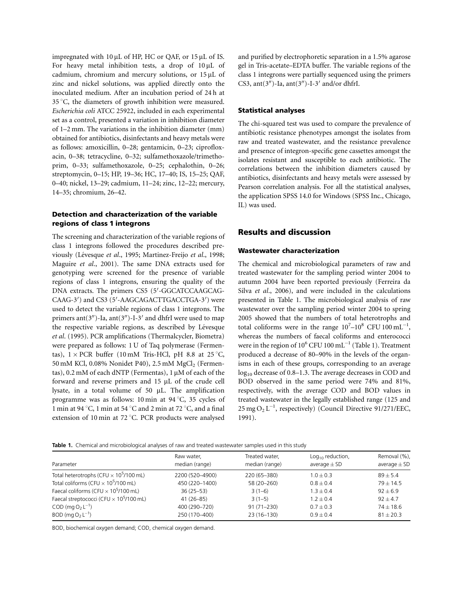impregnated with 10  $\mu$ L of HP, HC or QAF, or 15  $\mu$ L of IS. For heavy metal inhibition tests, a drop of  $10 \mu L$  of cadmium, chromium and mercury solutions, or  $15 \mu L$  of zinc and nickel solutions, was applied directly onto the inoculated medium. After an incubation period of 24 h at  $35^{\circ}$ C, the diameters of growth inhibition were measured. Escherichia coli ATCC 25922, included in each experimental set as a control, presented a variation in inhibition diameter of 1–2 mm. The variations in the inhibition diameter (mm) obtained for antibiotics, disinfectants and heavy metals were as follows: amoxicillin, 0–28; gentamicin, 0–23; ciprofloxacin, 0–38; tetracycline, 0–32; sulfamethoxazole/trimethoprim, 0–33; sulfamethoxazole, 0–25; cephalothin, 0–26; streptomycin, 0–15; HP, 19–36; HC, 17–40; IS, 15–25; QAF, 0–40; nickel, 13–29; cadmium, 11–24; zinc, 12–22; mercury, 14–35; chromium, 26–42.

### Detection and characterization of the variable regions of class 1 integrons

The screening and characterization of the variable regions of class 1 integrons followed the procedures described previously (Lévesque et al., 1995; Martinez-Freijo et al., 1998; Maguire et al., 2001). The same DNA extracts used for genotyping were screened for the presence of variable regions of class 1 integrons, ensuring the quality of the DNA extracts. The primers CS5 (5'-GGCATCCAAGCAG-CAAG-3') and CS3 (5'-AAGCAGACTTGACCTGA-3') were used to detect the variable regions of class 1 integrons. The primers ant(3")-Ia, ant(3")-I-3' and dhfrI were used to map the respective variable regions, as described by Lévesque et al. (1995). PCR amplifications (Thermalcycler, Biometra) were prepared as follows: 1 U of Taq polymerase (Fermentas),  $1 \times PCR$  buffer (10 mM Tris-HCl, pH 8.8 at 25 °C, 50 mM KCl, 0.08% Nonidet P40),  $2.5$  mM MgCl<sub>2</sub> (Fermentas), 0.2 mM of each dNTP (Fermentas), 1  $\mu$ M of each of the forward and reverse primers and  $15 \mu L$  of the crude cell lysate, in a total volume of 50 mL. The amplification programme was as follows: 10 min at 94  $\degree$ C, 35 cycles of 1 min at 94 °C, 1 min at 54 °C and 2 min at 72 °C, and a final extension of 10 min at 72  $^{\circ}$ C. PCR products were analysed

and purified by electrophoretic separation in a 1.5% agarose gel in Tris-acetate–EDTA buffer. The variable regions of the class 1 integrons were partially sequenced using the primers CS3, ant $(3'')$ -Ia, ant $(3'')$ -I-3' and/or dhfrI.

### Statistical analyses

The chi-squared test was used to compare the prevalence of antibiotic resistance phenotypes amongst the isolates from raw and treated wastewater, and the resistance prevalence and presence of integron-specific gene cassettes amongst the isolates resistant and susceptible to each antibiotic. The correlations between the inhibition diameters caused by antibiotics, disinfectants and heavy metals were assessed by Pearson correlation analysis. For all the statistical analyses, the application SPSS 14.0 for Windows (SPSS Inc., Chicago, IL) was used.

# Results and discussion

### Wastewater characterization

The chemical and microbiological parameters of raw and treated wastewater for the sampling period winter 2004 to autumn 2004 have been reported previously (Ferreira da Silva et al., 2006), and were included in the calculations presented in Table 1. The microbiological analysis of raw wastewater over the sampling period winter 2004 to spring 2005 showed that the numbers of total heterotrophs and total coliforms were in the range  $10^{7}-10^{8}$  CFU  $100 \text{ mL}^{-1}$ , whereas the numbers of faecal coliforms and enterococci were in the region of  $10^6\,\mathrm{CFU}$  100 mL $^{-1}$  (Table 1). Treatment produced a decrease of 80–90% in the levels of the organisms in each of these groups, corresponding to an average log<sub>10</sub> decrease of 0.8–1.3. The average decreases in COD and BOD observed in the same period were 74% and 81%, respectively, with the average COD and BOD values in treated wastewater in the legally established range (125 and  $25 \text{ mgO}_2 \text{L}^{-1}$ , respectively) (Council Directive 91/271/EEC, 1991).

Table 1. Chemical and microbiological analyses of raw and treated wastewater samples used in this study

| Parameter                                                  | Raw water,<br>median (range) | Treated water,<br>median (range) | $Log10$ reduction,<br>average $\pm$ SD | Removal (%),<br>average $\pm$ SD |  |
|------------------------------------------------------------|------------------------------|----------------------------------|----------------------------------------|----------------------------------|--|
| Total heterotrophs (CFU $\times$ 10 <sup>5</sup> /100 mL)  | 2200 (520-4900)              | 220 (65-380)                     | $1.0 + 0.3$                            | $89 + 5.4$                       |  |
| Total coliforms (CFU $\times$ 10 <sup>5</sup> /100 mL)     | 450 (220-1400)               | 58 (20-260)                      | $0.8 \pm 0.4$                          | $79 + 14.5$                      |  |
| Faecal coliforms (CFU $\times$ 10 <sup>5</sup> /100 mL)    | $36(25 - 53)$                | $3(1-6)$                         | $1.3 \pm 0.4$                          | $92 + 6.9$                       |  |
| Faecal streptococci (CFU $\times$ 10 <sup>5</sup> /100 mL) | $41(26 - 85)$                | $3(1-5)$                         | $1.2 \pm 0.4$                          | $92 + 4.7$                       |  |
| $COD$ (mg O <sub>2</sub> L <sup>-1</sup> )                 | 400 (290-720)                | $91(71 - 230)$                   | $0.7 \pm 0.3$                          | $74 \pm 18.6$                    |  |
| BOD (mg $O_2 L^{-1}$ )                                     | 250 (170-400)                | 23 (16-130)                      | $0.9 + 0.4$                            | $81 \pm 20.3$                    |  |

BOD, biochemical oxygen demand; COD, chemical oxygen demand.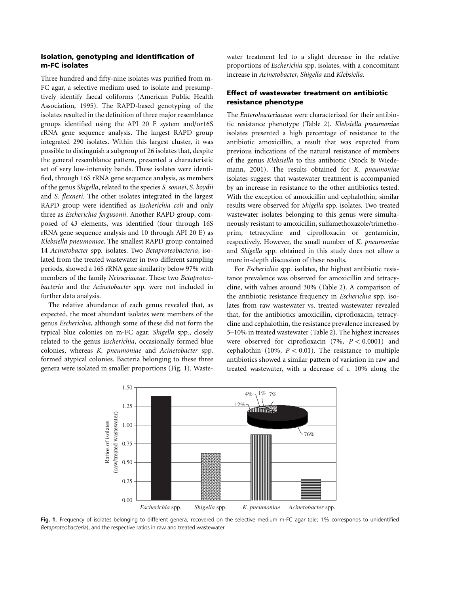### Isolation, genotyping and identification of m-FC isolates

Three hundred and fifty-nine isolates was purified from m-FC agar, a selective medium used to isolate and presumptively identify faecal coliforms (American Public Health Association, 1995). The RAPD-based genotyping of the isolates resulted in the definition of three major resemblance groups identified using the API 20 E system and/or16S rRNA gene sequence analysis. The largest RAPD group integrated 290 isolates. Within this largest cluster, it was possible to distinguish a subgroup of 26 isolates that, despite the general resemblance pattern, presented a characteristic set of very low-intensity bands. These isolates were identified, through 16S rRNA gene sequence analysis, as members of the genus Shigella, related to the species S. sonnei, S. boydii and S. flexneri. The other isolates integrated in the largest RAPD group were identified as Escherichia coli and only three as Escherichia fergusonii. Another RAPD group, composed of 43 elements, was identified (four through 16S rRNA gene sequence analysis and 10 through API 20 E) as Klebsiella pneumoniae. The smallest RAPD group contained 14 Acinetobacter spp. isolates. Two Betaproteobacteria, isolated from the treated wastewater in two different sampling periods, showed a 16S rRNA gene similarity below 97% with members of the family Neisseriaceae. These two Betaproteobacteria and the Acinetobacter spp. were not included in further data analysis.

The relative abundance of each genus revealed that, as expected, the most abundant isolates were members of the genus Escherichia, although some of these did not form the typical blue colonies on m-FC agar. Shigella spp., closely related to the genus Escherichia, occasionally formed blue colonies, whereas K. pneumoniae and Acinetobacter spp. formed atypical colonies. Bacteria belonging to these three genera were isolated in smaller proportions (Fig. 1). Wastewater treatment led to a slight decrease in the relative proportions of Escherichia spp. isolates, with a concomitant increase in Acinetobacter, Shigella and Klebsiella.

### Effect of wastewater treatment on antibiotic resistance phenotype

The Enterobacteriaceae were characterized for their antibiotic resistance phenotype (Table 2). Klebsiella pneumoniae isolates presented a high percentage of resistance to the antibiotic amoxicillin, a result that was expected from previous indications of the natural resistance of members of the genus Klebsiella to this antibiotic (Stock & Wiedemann, 2001). The results obtained for K. pneumoniae isolates suggest that wastewater treatment is accompanied by an increase in resistance to the other antibiotics tested. With the exception of amoxicillin and cephalothin, similar results were observed for Shigella spp. isolates. Two treated wastewater isolates belonging to this genus were simultaneously resistant to amoxicillin, sulfamethoxazole/trimethoprim, tetracycline and ciprofloxacin or gentamicin, respectively. However, the small number of K. pneumoniae and Shigella spp. obtained in this study does not allow a more in-depth discussion of these results.

For Escherichia spp. isolates, the highest antibiotic resistance prevalence was observed for amoxicillin and tetracycline, with values around 30% (Table 2). A comparison of the antibiotic resistance frequency in Escherichia spp. isolates from raw wastewater vs. treated wastewater revealed that, for the antibiotics amoxicillin, ciprofloxacin, tetracycline and cephalothin, the resistance prevalence increased by 5–10% in treated wastewater (Table 2). The highest increases were observed for ciprofloxacin (7%,  $P < 0.0001$ ) and cephalothin (10%,  $P < 0.01$ ). The resistance to multiple antibiotics showed a similar pattern of variation in raw and treated wastewater, with a decrease of  $c$ . 10% along the



Fig. 1. Frequency of isolates belonging to different genera, recovered on the selective medium m-FC agar (pie; 1% corresponds to unidentified Betaproteobacteria), and the respective ratios in raw and treated wastewater.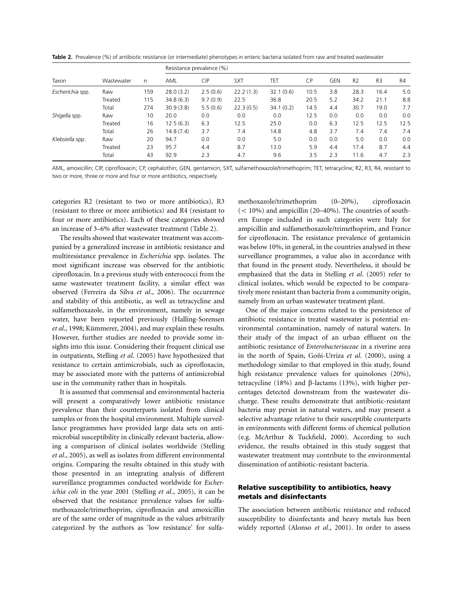Table 2. Prevalence (%) of antibiotic resistance (or intermediate) phenotypes in enteric bacteria isolated from raw and treated wastewater

| Taxon            | Wastewater | $\sqrt{n}$ | Resistance prevalence (%) |            |            |           |           |            |                |                |      |
|------------------|------------|------------|---------------------------|------------|------------|-----------|-----------|------------|----------------|----------------|------|
|                  |            |            | AML                       | <b>CIP</b> | <b>SXT</b> | TET       | <b>CP</b> | <b>GEN</b> | R <sub>2</sub> | R <sub>3</sub> | R4   |
| Escherichia spp. | Raw        | 159        | 28.0(3.2)                 | 2.5(0.6)   | 22.2(1.3)  | 32.1(0.6) | 10.5      | 3.8        | 28.3           | 16.4           | 5.0  |
|                  | Treated    | 115        | 34.8(6.3)                 | 9.7(0.9)   | 22.5       | 36.8      | 20.5      | 5.2        | 34.2           | 21.1           | 8.8  |
|                  | Total      | 274        | 30.9(3.8)                 | 5.5(0.6)   | 22.3(0.5)  | 34.1(0.2) | 14.5      | 4.4        | 30.7           | 19.0           | 7.7  |
| Shigella spp.    | Raw        | 10         | 20.0                      | 0.0        | 0.0        | 0.0       | 12.5      | 0.0        | 0.0            | 0.0            | 0.0  |
|                  | Treated    | 16         | 12.5(6.3)                 | 6.3        | 12.5       | 25.0      | 0.0       | 6.3        | 12.5           | 12.5           | 12.5 |
|                  | Total      | 26         | 14.8(7.4)                 | 3.7        | 7.4        | 14.8      | 4.8       | 3.7        | 7.4            | 7.4            | 7.4  |
| Klebsiella spp.  | Raw        | 20         | 94.7                      | 0.0        | 0.0        | 5.0       | 0.0       | 0.0        | 5.0            | 0.0            | 0.0  |
|                  | Treated    | 23         | 95.7                      | 4.4        | 8.7        | 13.0      | 5.9       | 4.4        | 17.4           | 8.7            | 4.4  |
|                  | Total      | 43         | 92.9                      | 2.3        | 4.7        | 9.6       | 3.5       | 2.3        | 11.6           | 4.7            | 2.3  |

AML, amoxicillin; CIP, ciprofloxacin; CP, cephalothin; GEN, gentamicin; SXT, sulfamethoxazole/trimethoprim; TET, tetracycline; R2, R3, R4, resistant to two or more, three or more and four or more antibiotics, respectively.

categories R2 (resistant to two or more antibiotics), R3 (resistant to three or more antibiotics) and R4 (resistant to four or more antibiotics). Each of these categories showed an increase of 3–6% after wastewater treatment (Table 2).

The results showed that wastewater treatment was accompanied by a generalized increase in antibiotic resistance and multiresistance prevalence in Escherichia spp. isolates. The most significant increase was observed for the antibiotic ciprofloxacin. In a previous study with enterococci from the same wastewater treatment facility, a similar effect was observed (Ferreira da Silva et al., 2006). The occurrence and stability of this antibiotic, as well as tetracycline and sulfamethoxazole, in the environment, namely in sewage water, have been reported previously (Halling-Sorensen et al., 1998; Kümmerer, 2004), and may explain these results. However, further studies are needed to provide some insights into this issue. Considering their frequent clinical use in outpatients, Stelling et al. (2005) have hypothesized that resistance to certain antimicrobials, such as ciprofloxacin, may be associated more with the patterns of antimicrobial use in the community rather than in hospitals.

It is assumed that commensal and environmental bacteria will present a comparatively lower antibiotic resistance prevalence than their counterparts isolated from clinical samples or from the hospital environment. Multiple surveillance programmes have provided large data sets on antimicrobial susceptibility in clinically relevant bacteria, allowing a comparison of clinical isolates worldwide (Stelling et al., 2005), as well as isolates from different environmental origins. Comparing the results obtained in this study with those presented in an integrating analysis of different surveillance programmes conducted worldwide for Escherichia coli in the year 2001 (Stelling et al., 2005), it can be observed that the resistance prevalence values for sulfamethoxazole/trimethoprim, ciprofloxacin and amoxicillin are of the same order of magnitude as the values arbitrarily categorized by the authors as 'low resistance' for sulfamethoxazole/trimethoprim (0–20%), ciprofloxacin  $(< 10\%)$  and ampicillin (20–40%). The countries of southern Europe included in such categories were Italy for ampicillin and sulfamethoxazole/trimethoprim, and France for ciprofloxacin. The resistance prevalence of gentamicin was below 10%, in general, in the countries analysed in these surveillance programmes, a value also in accordance with that found in the present study. Nevertheless, it should be emphasized that the data in Stelling et al. (2005) refer to clinical isolates, which would be expected to be comparatively more resistant than bacteria from a community origin, namely from an urban wastewater treatment plant.

One of the major concerns related to the persistence of antibiotic resistance in treated wastewater is potential environmental contamination, namely of natural waters. In their study of the impact of an urban effluent on the antibiotic resistance of Enterobacteriaceae in a riverine area in the north of Spain, Goñi-Urriza et al. (2000), using a methodology similar to that employed in this study, found high resistance prevalence values for quinolones (20%), tetracycline (18%) and  $\beta$ -lactams (13%), with higher percentages detected downstream from the wastewater discharge. These results demonstrate that antibiotic-resistant bacteria may persist in natural waters, and may present a selective advantage relative to their susceptible counterparts in environments with different forms of chemical pollution (e.g. McArthur & Tuckfield, 2000). According to such evidence, the results obtained in this study suggest that wastewater treatment may contribute to the environmental dissemination of antibiotic-resistant bacteria.

## Relative susceptibility to antibiotics, heavy metals and disinfectants

The association between antibiotic resistance and reduced susceptibility to disinfectants and heavy metals has been widely reported (Alonso et al., 2001). In order to assess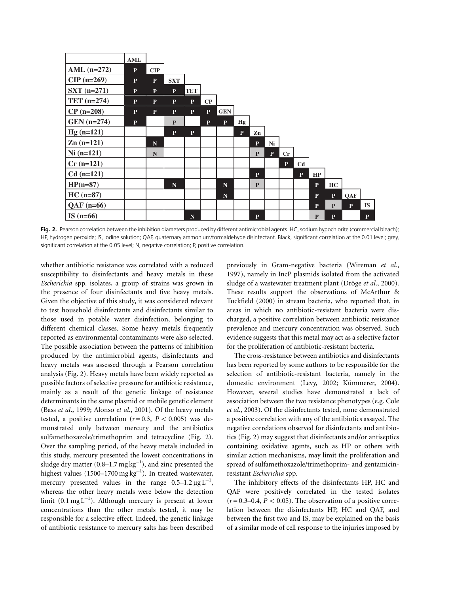

Fig. 2. Pearson correlation between the inhibition diameters produced by different antimicrobial agents. HC, sodium hypochlorite (commercial bleach); HP, hydrogen peroxide; IS, iodine solution; QAF, quaternary ammonium/formaldehyde disinfectant. Black, significant correlation at the 0.01 level; grey, significant correlation at the 0.05 level; N, negative correlation; P, positive correlation.

whether antibiotic resistance was correlated with a reduced susceptibility to disinfectants and heavy metals in these Escherichia spp. isolates, a group of strains was grown in the presence of four disinfectants and five heavy metals. Given the objective of this study, it was considered relevant to test household disinfectants and disinfectants similar to those used in potable water disinfection, belonging to different chemical classes. Some heavy metals frequently reported as environmental contaminants were also selected. The possible association between the patterns of inhibition produced by the antimicrobial agents, disinfectants and heavy metals was assessed through a Pearson correlation analysis (Fig. 2). Heavy metals have been widely reported as possible factors of selective pressure for antibiotic resistance, mainly as a result of the genetic linkage of resistance determinants in the same plasmid or mobile genetic element (Bass et al., 1999; Alonso et al., 2001). Of the heavy metals tested, a positive correlation ( $r = 0.3$ ,  $P < 0.005$ ) was demonstrated only between mercury and the antibiotics sulfamethoxazole/trimethoprim and tetracycline (Fig. 2). Over the sampling period, of the heavy metals included in this study, mercury presented the lowest concentrations in sludge dry matter  $(0.8-1.7 \,\mathrm{mg\,kg}^{-1}),$  and zinc presented the highest values (1500–1700 mg  $\text{kg}^{-1}$ ). In treated wastewater, mercury presented values in the range  $0.5-1.2 \mu g L^{-1}$ , whereas the other heavy metals were below the detection limit (0.1 mg  $L^{-1}$ ). Although mercury is present at lower concentrations than the other metals tested, it may be responsible for a selective effect. Indeed, the genetic linkage of antibiotic resistance to mercury salts has been described

previously in Gram-negative bacteria (Wireman et al., 1997), namely in IncP plasmids isolated from the activated sludge of a wastewater treatment plant (Dröge et al., 2000). These results support the observations of McArthur & Tuckfield (2000) in stream bacteria, who reported that, in areas in which no antibiotic-resistant bacteria were discharged, a positive correlation between antibiotic resistance prevalence and mercury concentration was observed. Such evidence suggests that this metal may act as a selective factor for the proliferation of antibiotic-resistant bacteria.

The cross-resistance between antibiotics and disinfectants has been reported by some authors to be responsible for the selection of antibiotic-resistant bacteria, namely in the domestic environment (Levy, 2002; Kümmerer, 2004). However, several studies have demonstrated a lack of association between the two resistance phenotypes (e.g. Cole et al., 2003). Of the disinfectants tested, none demonstrated a positive correlation with any of the antibiotics assayed. The negative correlations observed for disinfectants and antibiotics (Fig. 2) may suggest that disinfectants and/or antiseptics containing oxidative agents, such as HP or others with similar action mechanisms, may limit the proliferation and spread of sulfamethoxazole/trimethoprim- and gentamicinresistant Escherichia spp.

The inhibitory effects of the disinfectants HP, HC and QAF were positively correlated in the tested isolates  $(r = 0.3 - 0.4, P < 0.05)$ . The observation of a positive correlation between the disinfectants HP, HC and QAF, and between the first two and IS, may be explained on the basis of a similar mode of cell response to the injuries imposed by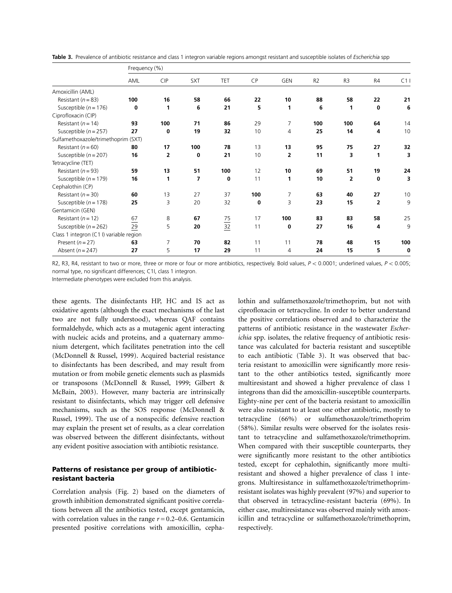|                                         | Frequency (%) |                |     |                 |           |                |                |                |                |     |
|-----------------------------------------|---------------|----------------|-----|-----------------|-----------|----------------|----------------|----------------|----------------|-----|
|                                         | AML           | <b>CIP</b>     | SXT | <b>TET</b>      | <b>CP</b> | <b>GEN</b>     | R <sub>2</sub> | R3             | R <sub>4</sub> | C11 |
| Amoxicillin (AML)                       |               |                |     |                 |           |                |                |                |                |     |
| Resistant ( $n = 83$ )                  | 100           | 16             | 58  | 66              | 22        | 10             | 88             | 58             | 22             | 21  |
| Susceptible ( $n = 176$ )               | 0             | 1              | 6   | 21              | 5         | 1              | 6              | 1              | 0              | 6   |
| Ciprofloxacin (CIP)                     |               |                |     |                 |           |                |                |                |                |     |
| Resistant ( $n = 14$ )                  | 93            | 100            | 71  | 86              | 29        | $\overline{7}$ | 100            | 100            | 64             | 14  |
| Susceptible ( $n = 257$ )               | 27            | $\mathbf 0$    | 19  | 32              | 10        | $\overline{4}$ | 25             | 14             | 4              | 10  |
| Sulfamethoxazole/trimethoprim (SXT)     |               |                |     |                 |           |                |                |                |                |     |
| Resistant ( $n = 60$ )                  | 80            | 17             | 100 | 78              | 13        | 13             | 95             | 75             | 27             | 32  |
| Susceptible ( $n = 207$ )               | 16            | 2              | 0   | 21              | 10        | 2              | 11             | 3              | 1              | 3   |
| Tetracycline (TET)                      |               |                |     |                 |           |                |                |                |                |     |
| Resistant ( $n = 93$ )                  | 59            | 13             | 51  | 100             | 12        | 10             | 69             | 51             | 19             | 24  |
| Susceptible ( $n = 179$ )               | 16            | 1              | 7   | $\mathbf 0$     | 11        | 1              | 10             | $\overline{2}$ | 0              | 3   |
| Cephalothin (CP)                        |               |                |     |                 |           |                |                |                |                |     |
| Resistant ( $n = 30$ )                  | 60            | 13             | 27  | 37              | 100       | $\overline{7}$ | 63             | 40             | 27             | 10  |
| Susceptible ( $n = 178$ )               | 25            | 3              | 20  | 32              | 0         | 3              | 23             | 15             | $\overline{2}$ | 9   |
| Gentamicin (GEN)                        |               |                |     |                 |           |                |                |                |                |     |
| Resistant ( $n = 12$ )                  | 67            | 8              | 67  | $\overline{25}$ | 17        | 100            | 83             | 83             | 58             | 25  |
| Susceptible ( $n = 262$ )               | 29            | 5              | 20  | 32              | 11        | 0              | 27             | 16             | 4              | 9   |
| Class 1 integron (C1 I) variable region |               |                |     |                 |           |                |                |                |                |     |
| Present $(n=27)$                        | 63            | $\overline{7}$ | 70  | 82              | 11        | 11             | 78             | 48             | 15             | 100 |
| Absent ( $n = 247$ )                    | 27            | 5              | 17  | 29              | 11        | 4              | 24             | 15             | 5              | 0   |

Table 3. Prevalence of antibiotic resistance and class 1 integron variable regions amongst resistant and susceptible isolates of Escherichia spp

R2, R3, R4, resistant to two or more, three or more or four or more antibiotics, respectively. Bold values,  $P < 0.0001$ ; underlined values,  $P < 0.005$ ; normal type, no significant differences; C1I, class 1 integron.

Intermediate phenotypes were excluded from this analysis.

these agents. The disinfectants HP, HC and IS act as oxidative agents (although the exact mechanisms of the last two are not fully understood), whereas QAF contains formaldehyde, which acts as a mutagenic agent interacting with nucleic acids and proteins, and a quaternary ammonium detergent, which facilitates penetration into the cell (McDonnell & Russel, 1999). Acquired bacterial resistance to disinfectants has been described, and may result from mutation or from mobile genetic elements such as plasmids or transposons (McDonnell & Russel, 1999; Gilbert & McBain, 2003). However, many bacteria are intrinsically resistant to disinfectants, which may trigger cell defensive mechanisms, such as the SOS response (McDonnell & Russel, 1999). The use of a nonspecific defensive reaction may explain the present set of results, as a clear correlation was observed between the different disinfectants, without any evident positive association with antibiotic resistance.

### Patterns of resistance per group of antibioticresistant bacteria

Correlation analysis (Fig. 2) based on the diameters of growth inhibition demonstrated significant positive correlations between all the antibiotics tested, except gentamicin, with correlation values in the range  $r = 0.2 - 0.6$ . Gentamicin presented positive correlations with amoxicillin, cephalothin and sulfamethoxazole/trimethoprim, but not with ciprofloxacin or tetracycline. In order to better understand the positive correlations observed and to characterize the patterns of antibiotic resistance in the wastewater Escherichia spp. isolates, the relative frequency of antibiotic resistance was calculated for bacteria resistant and susceptible to each antibiotic (Table 3). It was observed that bacteria resistant to amoxicillin were significantly more resistant to the other antibiotics tested, significantly more multiresistant and showed a higher prevalence of class 1 integrons than did the amoxicillin-susceptible counterparts. Eighty-nine per cent of the bacteria resistant to amoxicillin were also resistant to at least one other antibiotic, mostly to tetracycline (66%) or sulfamethoxazole/trimethoprim (58%). Similar results were observed for the isolates resistant to tetracycline and sulfamethoxazole/trimethoprim. When compared with their susceptible counterparts, they were significantly more resistant to the other antibiotics tested, except for cephalothin, significantly more multiresistant and showed a higher prevalence of class 1 integrons. Multiresistance in sulfamethoxazole/trimethoprimresistant isolates was highly prevalent (97%) and superior to that observed in tetracycline-resistant bacteria (69%). In either case, multiresistance was observed mainly with amoxicillin and tetracycline or sulfamethoxazole/trimethoprim, respectively.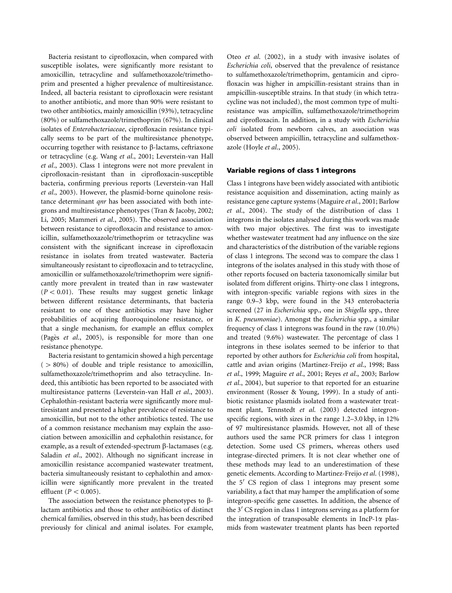Bacteria resistant to ciprofloxacin, when compared with susceptible isolates, were significantly more resistant to amoxicillin, tetracycline and sulfamethoxazole/trimethoprim and presented a higher prevalence of multiresistance. Indeed, all bacteria resistant to ciprofloxacin were resistant to another antibiotic, and more than 90% were resistant to two other antibiotics, mainly amoxicillin (93%), tetracycline (80%) or sulfamethoxazole/trimethoprim (67%). In clinical isolates of Enterobacteriaceae, ciprofloxacin resistance typically seems to be part of the multiresistance phenotype, occurring together with resistance to  $\beta$ -lactams, ceftriaxone or tetracycline (e.g. Wang et al., 2001; Leverstein-van Hall et al., 2003). Class 1 integrons were not more prevalent in ciprofloxacin-resistant than in ciprofloxacin-susceptible bacteria, confirming previous reports (Leverstein-van Hall et al., 2003). However, the plasmid-borne quinolone resistance determinant *anr* has been associated with both integrons and multiresistance phenotypes (Tran & Jacoby, 2002; Li, 2005; Mammeri et al., 2005). The observed association between resistance to ciprofloxacin and resistance to amoxicillin, sulfamethoxazole/trimethoprim or tetracycline was consistent with the significant increase in ciprofloxacin resistance in isolates from treated wastewater. Bacteria simultaneously resistant to ciprofloxacin and to tetracycline, amoxicillin or sulfamethoxazole/trimethoprim were significantly more prevalent in treated than in raw wastewater  $(P < 0.01)$ . These results may suggest genetic linkage between different resistance determinants, that bacteria resistant to one of these antibiotics may have higher probabilities of acquiring fluoroquinolone resistance, or that a single mechanism, for example an efflux complex (Pagès et al., 2005), is responsible for more than one resistance phenotype.

Bacteria resistant to gentamicin showed a high percentage  $(5 - 80\%)$  of double and triple resistance to amoxicillin, sulfamethoxazole/trimethoprim and also tetracycline. Indeed, this antibiotic has been reported to be associated with multiresistance patterns (Leverstein-van Hall et al., 2003). Cephalothin-resistant bacteria were significantly more multiresistant and presented a higher prevalence of resistance to amoxicillin, but not to the other antibiotics tested. The use of a common resistance mechanism may explain the association between amoxicillin and cephalothin resistance, for example, as a result of extended-spectrum  $\beta$ -lactamases (e.g. Saladin et al., 2002). Although no significant increase in amoxicillin resistance accompanied wastewater treatment, bacteria simultaneously resistant to cephalothin and amoxicillin were significantly more prevalent in the treated effluent ( $P < 0.005$ ).

The association between the resistance phenotypes to  $\beta$ lactam antibiotics and those to other antibiotics of distinct chemical families, observed in this study, has been described previously for clinical and animal isolates. For example,

Oteo et al. (2002), in a study with invasive isolates of Escherichia coli, observed that the prevalence of resistance to sulfamethoxazole/trimethoprim, gentamicin and ciprofloxacin was higher in ampicillin-resistant strains than in ampicillin-susceptible strains. In that study (in which tetracycline was not included), the most common type of multiresistance was ampicillin, sulfamethoxazole/trimethoprim and ciprofloxacin. In addition, in a study with Escherichia coli isolated from newborn calves, an association was observed between ampicillin, tetracycline and sulfamethoxazole (Hoyle et al., 2005).

#### Variable regions of class 1 integrons

Class 1 integrons have been widely associated with antibiotic resistance acquisition and dissemination, acting mainly as resistance gene capture systems (Maguire et al., 2001; Barlow et al., 2004). The study of the distribution of class 1 integrons in the isolates analysed during this work was made with two major objectives. The first was to investigate whether wastewater treatment had any influence on the size and characteristics of the distribution of the variable regions of class 1 integrons. The second was to compare the class 1 integrons of the isolates analysed in this study with those of other reports focused on bacteria taxonomically similar but isolated from different origins. Thirty-one class 1 integrons, with integron-specific variable regions with sizes in the range 0.9–3 kbp, were found in the 343 enterobacteria screened (27 in Escherichia spp., one in Shigella spp., three in K. pneumoniae). Amongst the Escherichia spp., a similar frequency of class 1 integrons was found in the raw (10.0%) and treated (9.6%) wastewater. The percentage of class 1 integrons in these isolates seemed to be inferior to that reported by other authors for Escherichia coli from hospital, cattle and avian origins (Martinez-Freijo et al., 1998; Bass et al., 1999; Maguire et al., 2001; Reyes et al., 2003; Barlow et al., 2004), but superior to that reported for an estuarine environment (Rosser & Young, 1999). In a study of antibiotic resistance plasmids isolated from a wastewater treatment plant, Tennstedt et al. (2003) detected integronspecific regions, with sizes in the range 1.2–3.0 kbp, in 12% of 97 multiresistance plasmids. However, not all of these authors used the same PCR primers for class 1 integron detection. Some used CS primers, whereas others used integrase-directed primers. It is not clear whether one of these methods may lead to an underestimation of these genetic elements. According to Martinez-Freijo et al. (1998), the  $5'$  CS region of class 1 integrons may present some variability, a fact that may hamper the amplification of some integron-specific gene cassettes. In addition, the absence of the  $3'$  CS region in class 1 integrons serving as a platform for the integration of transposable elements in IncP-1 $\alpha$  plasmids from wastewater treatment plants has been reported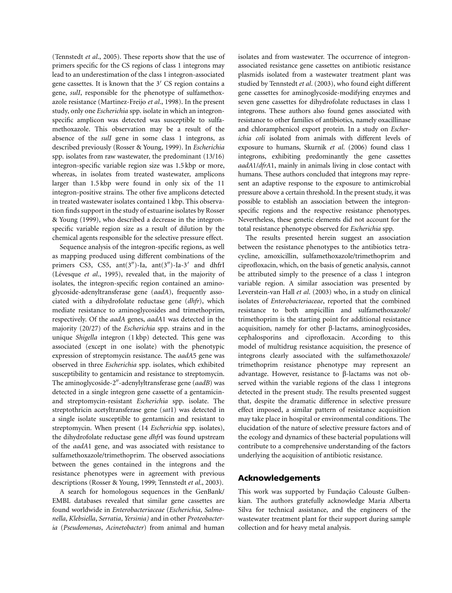(Tennstedt et al., 2005). These reports show that the use of primers specific for the CS regions of class 1 integrons may lead to an underestimation of the class 1 integron-associated gene cassettes. It is known that the  $3'$  CS region contains a gene, sulI, responsible for the phenotype of sulfamethoxazole resistance (Martinez-Freijo et al., 1998). In the present study, only one Escherichia spp. isolate in which an integronspecific amplicon was detected was susceptible to sulfamethoxazole. This observation may be a result of the absence of the sulI gene in some class 1 integrons, as described previously (Rosser & Young, 1999). In Escherichia spp. isolates from raw wastewater, the predominant (13/16) integron-specific variable region size was 1.5 kbp or more, whereas, in isolates from treated wastewater, amplicons larger than 1.5 kbp were found in only six of the 11 integron-positive strains. The other five amplicons detected in treated wastewater isolates contained 1 kbp. This observation finds support in the study of estuarine isolates by Rosser & Young (1999), who described a decrease in the integronspecific variable region size as a result of dilution by the chemical agents responsible for the selective pressure effect.

Sequence analysis of the integron-specific regions, as well as mapping produced using different combinations of the primers CS3, CS5, ant $(3'')$ -Ia, ant $(3'')$ -Ia-3' and dhfrI (Lévesque  $et$  al., 1995), revealed that, in the majority of isolates, the integron-specific region contained an aminoglycoside-adenyltransferase gene (aadA), frequently associated with a dihydrofolate reductase gene (dhfr), which mediate resistance to aminoglycosides and trimethoprim, respectively. Of the aadA genes, aadA1 was detected in the majority (20/27) of the Escherichia spp. strains and in the unique Shigella integron (1 kbp) detected. This gene was associated (except in one isolate) with the phenotypic expression of streptomycin resistance. The aadA5 gene was observed in three Escherichia spp. isolates, which exhibited susceptibility to gentamicin and resistance to streptomycin. The aminoglycoside-2"-adenylyltransferase gene (aadB) was detected in a single integron gene cassette of a gentamicinand streptomycin-resistant Escherichia spp. isolate. The streptothricin acetyltransferase gene (sat1) was detected in a single isolate susceptible to gentamicin and resistant to streptomycin. When present (14 Escherichia spp. isolates), the dihydrofolate reductase gene dhfrI was found upstream of the aadA1 gene, and was associated with resistance to sulfamethoxazole/trimethoprim. The observed associations between the genes contained in the integrons and the resistance phenotypes were in agreement with previous descriptions (Rosser & Young, 1999; Tennstedt et al., 2003).

A search for homologous sequences in the GenBank/ EMBL databases revealed that similar gene cassettes are found worldwide in Enterobacteriaceae (Escherichia, Salmonella, Klebsiella, Serratia, Yersinia) and in other Proteobacteria (Pseudomonas, Acinetobacter) from animal and human isolates and from wastewater. The occurrence of integronassociated resistance gene cassettes on antibiotic resistance plasmids isolated from a wastewater treatment plant was studied by Tennstedt et al. (2003), who found eight different gene cassettes for aminoglycoside-modifying enzymes and seven gene cassettes for dihydrofolate reductases in class 1 integrons. These authors also found genes associated with resistance to other families of antibiotics, namely oxacillinase and chloramphenicol export protein. In a study on Escherichia coli isolated from animals with different levels of exposure to humans, Skurnik et al. (2006) found class 1 integrons, exhibiting predominantly the gene cassettes aadA1/dfrA1, mainly in animals living in close contact with humans. These authors concluded that integrons may represent an adaptive response to the exposure to antimicrobial pressure above a certain threshold. In the present study, it was possible to establish an association between the integronspecific regions and the respective resistance phenotypes. Nevertheless, these genetic elements did not account for the total resistance phenotype observed for Escherichia spp.

The results presented herein suggest an association between the resistance phenotypes to the antibiotics tetracycline, amoxicillin, sulfamethoxazole/trimethoprim and ciprofloxacin, which, on the basis of genetic analysis, cannot be attributed simply to the presence of a class 1 integron variable region. A similar association was presented by Leverstein-van Hall et al. (2003) who, in a study on clinical isolates of Enterobacteriaceae, reported that the combined resistance to both ampicillin and sulfamethoxazole/ trimethoprim is the starting point for additional resistance acquisition, namely for other  $\beta$ -lactams, aminoglycosides, cephalosporins and ciprofloxacin. According to this model of multidrug resistance acquisition, the presence of integrons clearly associated with the sulfamethoxazole/ trimethoprim resistance phenotype may represent an advantage. However, resistance to  $\beta$ -lactams was not observed within the variable regions of the class 1 integrons detected in the present study. The results presented suggest that, despite the dramatic difference in selective pressure effect imposed, a similar pattern of resistance acquisition may take place in hospital or environmental conditions. The elucidation of the nature of selective pressure factors and of the ecology and dynamics of these bacterial populations will contribute to a comprehensive understanding of the factors underlying the acquisition of antibiotic resistance.

### Acknowledgements

This work was supported by Fundação Calouste Gulbenkian. The authors gratefully acknowledge Maria Alberta Silva for technical assistance, and the engineers of the wastewater treatment plant for their support during sample collection and for heavy metal analysis.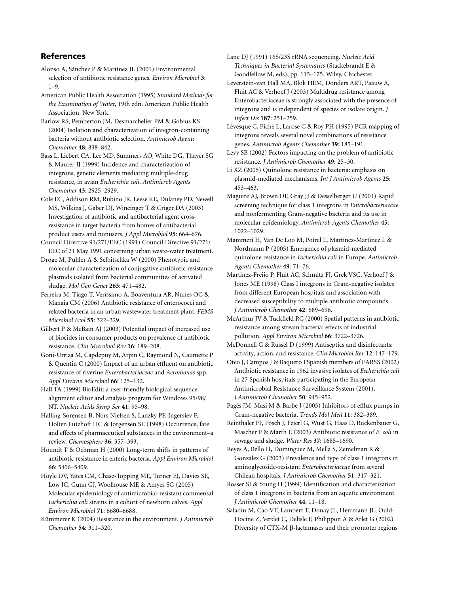# References

- Alonso A, Sánchez P & Martínez JL (2001) Environmental selection of antibiotic resistance genes. Environ Microbiol 3:  $1-9.$
- American Public Health Association (1995) Standard Methods for the Examination of Water, 19th edn. American Public Health Association, New York.
- Barlow RS, Pemberton JM, Desmarchelier PM & Gobius KS (2004) Isolation and characterization of integron-containing bacteria without antibiotic selection. Antimicrob Agents Chemother 48: 838–842.
- Bass L, Liebert CA, Lee MD, Summers AO, White DG, Thayer SG & Maurer JJ (1999) Incidence and characterization of integrons, genetic elements mediating multiple-drug resistance, in avian Escherichia coli. Antimicrob Agents Chemother 43: 2925–2929.
- Cole EC, Addison RM, Rubino JR, Leese KE, Dulaney PD, Newell MS, Wilkins J, Gaber DJ, Wineinger T & Criger DA (2003) Investigation of antibiotic and antibacterial agent crossresistance in target bacteria from homes of antibacterial product users and nonusers. J Appl Microbiol 95: 664–676.
- Council Directive 91/271/EEC (1991) Council Directive 91/271/ EEC of 21 May 1991 concerning urban waste-water treatment.
- Dröge M, Pühler A & Selbitschka W (2000) Phenotypic and molecular characterization of conjugative antibiotic resistance plasmids isolated from bacterial communities of activated sludge. Mol Gen Genet 263: 471–482.
- Ferreira M, Tiago T, Veríssimo A, Boaventura AR, Nunes OC & Manaia CM (2006) Antibiotic resistance of enterococci and related bacteria in an urban wastewater treatment plant. FEMS Microbiol Ecol 55: 322–329.
- Gilbert P & McBain AJ (2003) Potential impact of increased use of biocides in consumer products on prevalence of antibiotic resistance. Clin Microbiol Rev 16: 189–208.
- Goñi-Urriza M, Capdepuy M, Arpin C, Raymond N, Caumette P & Quentin C (2000) Impact of an urban effluent on antibiotic resistance of riverine Enterobacteriaceae and Aeromonas spp. Appl Environ Microbiol 66: 125–132.
- Hall TA (1999) BioEdit: a user-friendly biological sequence alignment editor and analysis program for Windows 95/98/ NT. Nucleic Acids Symp Ser 41: 95–98.
- Halling-Sorensen B, Nors Nielsen S, Lanzky PF, Ingersiev F, Holten Lutzhoft HC & Jorgensen SE (1998) Occurrence, fate and effects of pharmaceutical substances in the environment–a review. Chemosphere 36: 357–393.
- Houndt T & Ochman H (2000) Long-term shifts in patterns of antibiotic resistance in enteric bacteria. Appl Environ Microbiol 66: 5406–5409.
- Hoyle DV, Yates CM, Chase-Topping ME, Turner EJ, Davies SE, Low JC, Gunn GJ, Woolhouse ME & Amyes SG (2005) Molecular epidemiology of antimicrobial-resistant commensal Escherichia coli strains in a cohort of newborn calves. Appl Environ Microbiol 71: 6680–6688.
- Kümmerer K (2004) Resistance in the environment. *J Antimicrob* Chemother 54: 311–320.
- Lane DJ (1991) 16S/23S rRNA sequencing. Nucleic Acid Techniques in Bacterial Systematics (Stackebrandt E & Goodfellow M, eds), pp. 115–175. Wiley, Chichester.
- Leverstein-van Hall MA, Blok HEM, Donders ART, Paauw A, Fluit AC & Verhoef J (2003) Multidrug resistance among Enterobacteriaceae is strongly associated with the presence of integrons and is independent of species or isolate origin. J Infect Dis 187: 251–259.
- Lévesque C, Piché L, Larose C & Roy PH (1995) PCR mapping of integrons reveals several novel combinations of resistance genes. Antimicrob Agents Chemother 39: 185–191.
- Levy SB (2002) Factors impacting on the problem of antibiotic resistance. J Antimicrob Chemother 49: 25–30.
- Li XZ (2005) Quinolone resistance in bacteria: emphasis on plasmid-mediated mechanisms. Int J Antimicrob Agents 25: 453–463.
- Maguire AJ, Brown DF, Gray JJ & Desselberger U (2001) Rapid screening technique for class 1 integrons in Enterobacteriaceae and nonfermenting Gram-negative bacteria and its use in molecular epidemiology. Antimicrob Agents Chemother 45: 1022–1029.
- Mammeri H, Van De Loo M, Poirel L, Martinez-Martinez L & Nordmann P (2005) Emergence of plasmid-mediated quinolone resistance in Escherichia coli in Europe. Antimicrob Agents Chemother 49: 71–76.
- Martinez-Freijo P, Fluit AC, Schmitz FJ, Grek VSC, Verhoef J & Jones ME (1998) Class I integrons in Gram-negative isolates from different European hospitals and association with decreased susceptibility to multiple antibiotic compounds. J Antimicrob Chemother 42: 689–696.
- McArthur JV & Tuckfield RC (2000) Spatial patterns in antibiotic resistance among stream bacteria: effects of industrial pollution. Appl Environ Microbiol 66: 3722–3726.
- McDonnell G & Russel D (1999) Antiseptics and disinfectants: activity, action, and resistance. Clin Microbiol Rev 12: 147–179.
- Oteo J, Campos J & Baquero FSpanish members of EARSS (2002) Antibiotic resistance in 1962 invasive isolates of Escherichia coli in 27 Spanish hospitals participating in the European Antimicrobial Resistance Surveillance System (2001). J Antimicrob Chemother 50: 945–952.
- Pagès JM, Masi M & Barbe J (2005) Inhibitors of efflux pumps in Gram-negative bacteria. Trends Mol Med 11: 382–389.
- Reinthaler FF, Posch J, Feierl G, Wust G, Haas D, Ruckenbauer G, Mascher F & Marth E (2003) Antibiotic resistance of E. coli in sewage and sludge. Water Res 37: 1685–1690.
- Reyes A, Bello H, Dominguez M, Mella S, Zemelman R & Gonzalez G (2003) Prevalence and type of class 1 integrons in aminoglycoside-resistant Enterobacteriaceae from several Chilean hospitals. J Antimicrob Chemother 51: 317–321.
- Rosser SJ & Young H (1999) Identification and characterization of class 1 integrons in bacteria from an aquatic environment. J Antimicrob Chemother 44: 11–18.
- Saladin M, Cao VT, Lambert T, Donay JL, Herrmann JL, Ould-Hocine Z, Verdet C, Delisle F, Philippon A & Arlet G (2002) Diversity of CTX-M  $\beta$ -lactamases and their promoter regions